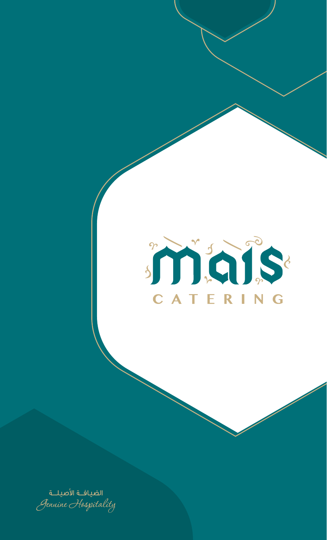

الضيافــة الأصيلـــة<br>*Genaine Hospitality*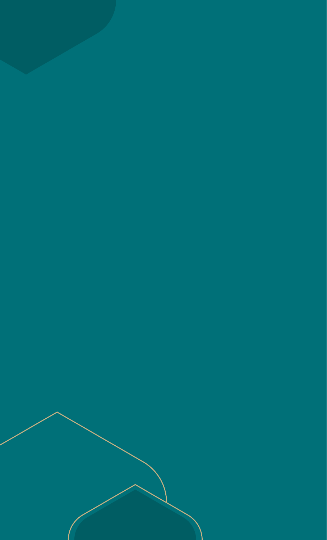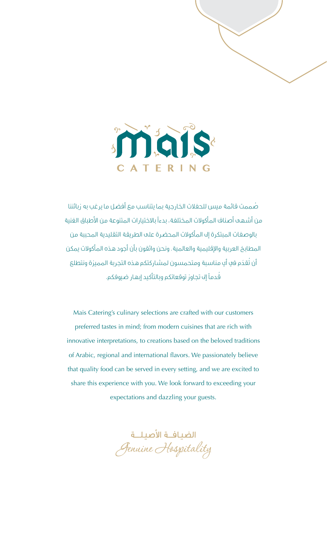

ُصممت قائمة ميس للحفالت اخلارجية مبا يتناسب مع أفضل ما يرغب به زبائننا من أشهى أصناف المأكولات المختلفة، بدءاً بالاختيارات المتنوعة من الأطباق الغنية بالوصفات المبتكرة إلى المأكولات المحضرة على الطريقة التقليدية المحببة من المطابخ العربية والإقليمية والعالمية. ونحن واثقون بأن أجود هذه المأكولات يمكن أن تُقدَم في أي مناسبة ومتحمسون لمشاركتكم هذه التجربة المميزة ونتطلع ُقدمًا إىل جتاوز توقعاتكم وبالتأكيد إبهار ضيوفكم.

Mais Catering's culinary selections are crafted with our customers preferred tastes in mind; from modern cuisines that are rich with innovative interpretations, to creations based on the beloved traditions of Arabic, regional and international flavors. We passionately believe that quality food can be served in every setting, and we are excited to share this experience with you. We look forward to exceeding your expectations and dazzling your guests.

الضيافــة الأصيلــة Jenuine Hospitality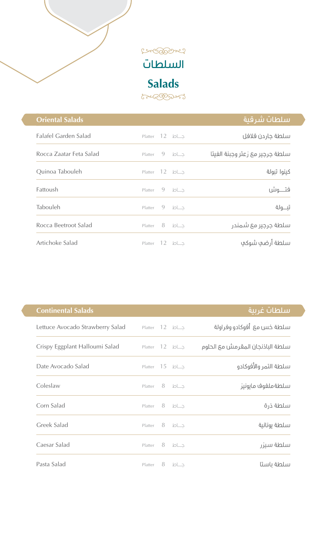cocoons **السلطاتSalads**

| <b>Oriental Salads</b>  |                           | سلطات شرقية                     |
|-------------------------|---------------------------|---------------------------------|
| Falafel Garden Salad    | جــاط Platter 12          | سلطة جاردن فلافل                |
| Rocca Zaatar Feta Salad | Platter 9 bl              | سلطة جرجير مع زعتر وجبنة الفيتا |
| Quinoa Tabouleh         | $Platter$ 12 $\Delta$     | كينوا تبولة                     |
| Fattoush                | Platter 9 bl              | فتـــوش                         |
| Tabouleh                | Platter 9 bl              | تبـــولة                        |
| Rocca Beetroot Salad    | Platter $8$ DL $\supset$  | سلطة جرجير مع شمندر             |
| Artichoke Salad         | Platter $12$ DL $\supset$ | سلطة أرضى شوكي                  |

| <b>Continental Salads</b>                       |  |               | سلطات غربنة                      |
|-------------------------------------------------|--|---------------|----------------------------------|
| Elettuce Avocado Strawberry Salad Platter 12 PL |  |               | سلطة خس مع أفوكادو وفراولة       |
| Crispy Eggplant Halloumi Salad Platter 12 PL    |  |               | سلطة الباذنجان المقرمش مع الحلوم |
| Date Avocado Salad                              |  | Platter 15 bl | سلطة التمر والأفوكادو            |
| Coleslaw                                        |  | Platter 8 bl  | سلطة ملفوف مايونيز               |
| Corn Salad                                      |  | Platter 8 bl  | سلطة ذرة                         |
| Greek Salad                                     |  | Platter 8 bl  | سلطة يونانية                     |
| Caesar Salad                                    |  | Platter 8 bl  | سلطة سيزر                        |
| Pasta Salad                                     |  | Platter 8 bl  | سلطة باستا                       |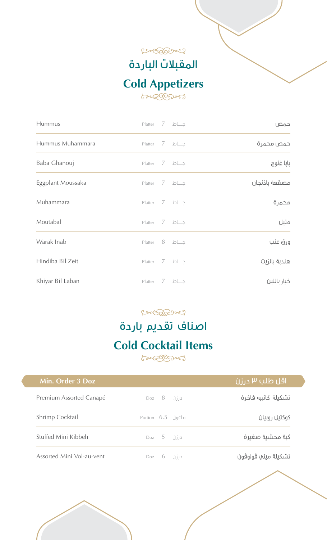

**Cold Appetizers**

| <b>Hummus</b>     |  | Platter 7 bl | حمصاً ا       |
|-------------------|--|--------------|---------------|
| Hummus Muhammara  |  | Platter 7 bl | حمص محمرة     |
| Baba Ghanouj      |  | Platter 7 bl | بابا غنوج     |
| Eggplant Moussaka |  | Platter 7 bl | مصقعة باذنجان |
| Muhammara         |  | Platter 7 bl | محمرة         |
| Moutabal          |  | Platter 7 bl | متبل          |
| Warak Inab        |  | Platter 8 b  | ورق عنب       |
| Hindiba Bil Zeit  |  | Platter 7 bl | هندبة بالزيت  |
| Khiyar Bil Laban  |  | Platter 7 b  | خيار باللبن   |

cocodoms **اصناف تقدمي باردةCold Cocktail Items**

 $6 - 00000000$ 

| Min. Order 3 Doz          |  |                       | اقل طلب ۳ درزن <sub>ا</sub> |
|---------------------------|--|-----------------------|-----------------------------|
| Premium Assorted Canapé   |  | $Doz$ $8$ $(i)$ $(i)$ | تشكيلة كانبيه فاخرة         |
| Shrimp Cocktail           |  | Portion $6.5$ (اعون   | كوكتيل روبيان               |
| Stuffed Mini Kibbeh       |  | Doz $5$ $(i)$         | كبة محشية صغيرة             |
| Assorted Mini Vol-au-vent |  | $Doz = 6$ $(i)$       | تشكيلة ميني ڤولوڤون         |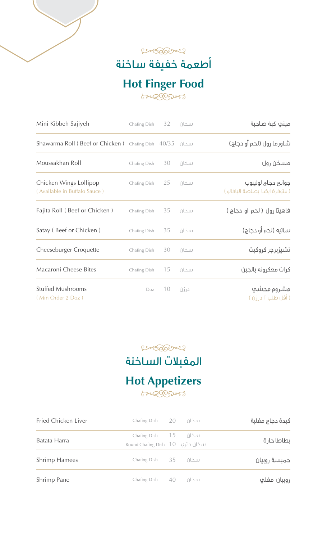

|  | محدر وكالكهامج |  |
|--|----------------|--|
|--|----------------|--|

| Mini Kibbeh Sajiyeh                                     | Chafing Dish    | 32 | سخان | ميني كبة صاجية                                       |
|---------------------------------------------------------|-----------------|----|------|------------------------------------------------------|
| Shawarma Roll (Beef or Chicken) Chafing Dish 40/35 سخان |                 |    |      | شاورما رول (لحم آو دجاج)                             |
| Moussakhan Roll                                         | Chafing Dish    | 30 | سخان | مسخن رول                                             |
| Chicken Wings Lollipop<br>(Available in Buffalo Sauce)  | Chafing Dish 25 |    | سخان | جوانح دجاج لوليبوب<br>( متوفرة ايضا بصلصة البافالو ) |
| Fajita Roll ( Beef or Chicken )                         | Chafing Dish    | 35 | سخان | فاهيتا رول ( لحم او دجاج )                           |
| Satay (Beef or Chicken)                                 | Chafing Dish    | 35 | سخان | ساتيه (لحم أو دجاج)                                  |
| Cheeseburger Croquette                                  | Chafing Dish    | 30 | سخان | تشيزبرجر كروكيت                                      |
| Macaroni Cheese Bites                                   | Chafing Dish 15 |    | سخان | كرات معكرونه بالجبن                                  |
| <b>Stuffed Mushrooms</b><br>(Min Order 2 Doz)           | DoZ             | 10 | درزن | مشروم محشي<br>( أقل طلب ٢ درزن )                     |

cocoons **املقبالت الساخنةHot Appetizers**

| Fried Chicken Liver | سخان (Chafing Dish 20                                           |      | كبدة دجاج مقلية |
|---------------------|-----------------------------------------------------------------|------|-----------------|
| Batata Harra        | سخان 15 Chafing Dish 15<br>Round Chafing Dish 10 سخان دائري _ 0 |      | بطاطا حارة      |
| Shrimp Hamees       | سخان 3.5 Chafing Dish                                           |      | حميسة روبيان    |
| Shrimp Pane         | Chafing Dish 40                                                 | سخان | روبيان مقلي     |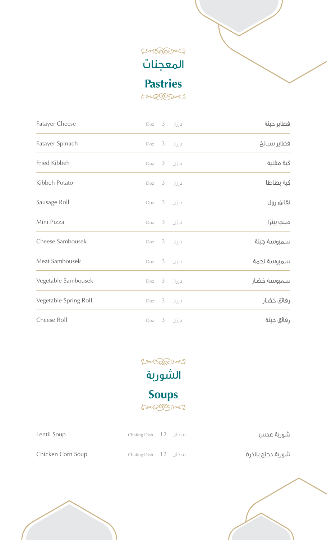

| Fatayer Cheese        |  | Doz 3 <i>Lija</i> | فطاير جبنة  |
|-----------------------|--|-------------------|-------------|
| Fatayer Spinach       |  | $Doz$ 3 $L$       | فطاير سبانخ |
| Fried Kibbeh          |  | $Doz$ 3 $L$       | كبة مقلية   |
| Kibbeh Potato         |  | $Doz$ 3 $L$       | كبة بطاطا   |
| Sausage Roll          |  | $Doz$ 3 $L$       | نقانق رول   |
| Mini Pizza            |  | $Doz$ 3 $Ljjz$    | ميني بيتزا  |
| Cheese Sambousek      |  | $Doz$ 3 $L$       | سمبوسة جبنة |
| Meat Sambousek        |  | $Doz = 3$ درزن    | سمبوسة لحمة |
| Vegetable Sambousek   |  | $Doz$ 3 $L$       | سمبوسة خضار |
| Vegetable Spring Roll |  | $Doz = 3$ درزن    | رقائق خضار  |
| Cheese Roll           |  | $Doz$ 3 $L$       | رقائق جبنة  |



| Lentil Soup       | سخان 12 Chafing Dish           |  | اشوربة عدس         |
|-------------------|--------------------------------|--|--------------------|
| Chicken Corn Soup | سخان 12 Chafing Dish $\sim$ 12 |  | اشوربة دجاج بالذرة |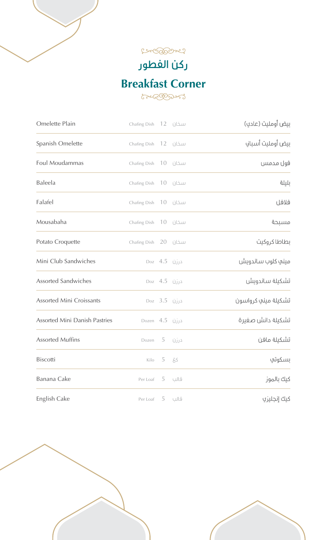

| Omelette Plain                       | سخان 12 Chafing Dish    |          |                     | بيض أومليت (عادي)   |
|--------------------------------------|-------------------------|----------|---------------------|---------------------|
| Spanish Omelette                     | سخان 12 Chafing Dish    |          |                     | بيض أومليت أسباني   |
| Foul Moudammas                       | سخان 10 Chafing Dish    |          |                     | فول مدمس            |
| Baleela                              | سخان 10 Chafing Dish    |          |                     | بليلة               |
| Falafel                              | سخان 10 Chafing Dish 10 |          |                     | فلافل               |
| Mousabaha                            | سخان 10 Chafing Dish    |          |                     | مسبحة               |
| Potato Croquette                     | سخان Chafing Dish 20    |          |                     | بطاطا كروكيت        |
| Mini Club Sandwiches                 |                         |          | Doz 4.5 <i>Lija</i> | ميني كلوب ساندويش   |
| <b>Assorted Sandwiches</b>           |                         |          | Doz $4.5$ $(i)$     | تشكيلة ساندويش      |
| <b>Assorted Mini Croissants</b>      |                         |          | Doz 3.5 Újja        | تشكيلة ميني كرواسون |
| <b>Assorted Mini Danish Pastries</b> | Dozen 4.5 újja          |          |                     | تشكيلة دانش صغيرة   |
| <b>Assorted Muffins</b>              | Dozen 5 <i>Lija</i>     |          |                     | تشكيلة مافن         |
| Biscotti                             |                         | Kilo 5 غ |                     | بسكوتي              |
| <b>Banana Cake</b>                   | Per Loaf 5 قالب         |          |                     | كيك بالموز          |
| English Cake                         | Per Loaf 5 UU           |          |                     | كيك إنجليزي         |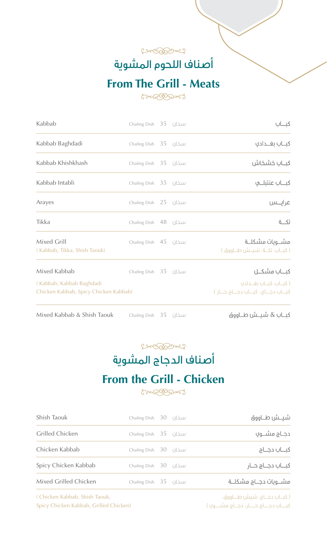

**أصناف اللحوم املشوية**

#### **From The Grill - Meats**

Eccomposition

| Kabbab                                                                             | لسخان 35 Chafing Dish |  | كبـــاب                                                                         |
|------------------------------------------------------------------------------------|-----------------------|--|---------------------------------------------------------------------------------|
| Kabbab Baghdadi                                                                    | سخان 35 Chafing Dish  |  | كبـــاب بغــــدادي                                                              |
| Kabbab Khishkhash                                                                  | سخان 35 Chafing Dish  |  | كبـــاب خشخاش                                                                   |
| Kabbab Intabli                                                                     | سخان 35 Chafing Dish  |  | كبـــاب عنتبلــــي                                                              |
| Arayes                                                                             | سخان 25 Chafing Dish  |  | عرايــس                                                                         |
| Tikka                                                                              | سخان 48 Chafing Dish  |  | تک ة                                                                            |
| Mixed Grill<br>(Kabbab, Tikka, Shish Taouk)                                        | سخان 45 Chafing Dish  |  | مشــويات مشكلــة<br>(كبــاب، تكــة، شيــش طــاووق )                             |
| Mixed Kabbab<br>(Kabbab, Kabbab Baghdadi)<br>Chicken Kabbab, Spicy Chicken Kabbab) | سخان 35 Chafing Dish  |  | كبـــاب مشكــل<br>( كېلاب، كېلاب بغىدادى<br>كبــاب دجــاج، كبــاب دجــاج حــار) |
|                                                                                    |                       |  |                                                                                 |

Mixed Kabbab & Shish Taouk Chafing Dish 35 سخان طـــاووق شيـــش & كبـــاب

cocoons **أصناف الدجاج املشويةFrom the Grill - Chicken** to component

| Shish Taouk           | سخان Chafing Dish 30 |  | شيــش طــاووق           |
|-----------------------|----------------------|--|-------------------------|
| Grilled Chicken       | سخان 35 Chafing Dish |  | دجـاج مشــوي            |
| Chicken Kabbab        | سخان 30 Chafing Dish |  | كبـــاب دجــاج          |
| Spicy Chicken Kabbab  | سخان 30 Chafing Dish |  | كبـــاب دجــاج حــار    |
| Mixed Grilled Chicken | سخان Chafing Dish 35 |  | مشــويات دجــاج مشكلــة |

( Chicken Kabbab, Shish Taouk, Spicy Chicken Kabbab, Grilled Chicken)

) كبـــاب دجـــاج، شيش طــــاووق، كبــــــاب دجـــــاج، دجـــــاج مشــــــوي )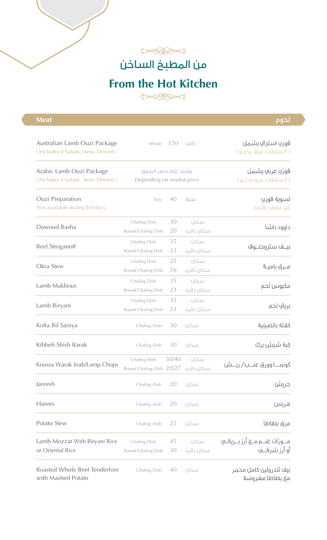cocoons

**من املطبخ الساخن**

### **From the Hot Kitchen**

**GREEPOOR** 

| <b>Meat</b>                                                        |                                                  |                     |                    | حوم                                                |
|--------------------------------------------------------------------|--------------------------------------------------|---------------------|--------------------|----------------------------------------------------|
| Australian Lamb Ouzi Package<br>(Includes 4 Salads, Stew, Dessert) |                                                  | كاما 150 Whole Note |                    | قوزي استراكي يشمل<br>( ٤ سلطات، مرق وحلــو )       |
| Arabic Lamb Ouzi Package<br>(Includes 4 Salads, Stew, Dessert)     | يعتمد على سعر السوق<br>Depending on market price |                     |                    | قوري عربي يشمل<br>( ٤ سلطات، مرق وحلـو )           |
| Ouzi Preparation<br>Not available during Eid days                  | Tray                                             | 40                  | صنية               | تسوية قوزي<br>غير متوفر بالأعياد                   |
| Dawoud Basha                                                       | Chafing Dish<br>Round Chafing Dish               | 30<br>20            | سخان<br>سخان دائري | داوود باشا                                         |
| <b>Beef Stroganoff</b>                                             | Chafing Dish<br>Round Chafing Dish               | 35<br>23            | سخان<br>سخان دائر  | بيــف ستروجنــوف                                   |
| Okra Stew                                                          | Chafing Dish<br>Round Chafing Dish               | 25<br>16            | سخان<br>سخان دائري | مرق بامية                                          |
| Lamb Makbous                                                       | Chafing Dish<br>Round Chafing Dish               | 35<br>23            | سخان<br>سخان دائري | مكبوس لحم                                          |
| Lamb Biryani                                                       | Chafing Dish<br>Round Chafing Dish               | 35<br>23            | سخان<br>سخان دائري | برياني لحم                                         |
| Kofta Bil Saniya                                                   | Chafing Dish                                     | 30                  | سخان               | كفتة بالصينية                                      |
| Kibbeh Shish Barak                                                 | Chafing Dish                                     | 30                  | سخان               | كبة شيش برك                                        |
| Koussa Warak Inab/Lamp Chops                                       | Chafing Dish<br>Round Chafing Dish 20/27         | 30/40               | سخان<br>سخان دائري | كوســـا وورق عنـــب/ ريـــش                        |
| Jareesh                                                            | Chafing Dish                                     | 20                  | سخان               | حر بش                                              |
| <b>Harees</b>                                                      | Chafing Dish                                     | 20                  | سخان               | هريس                                               |
| Potato Stew                                                        | Chafing Dish                                     | 25                  | سخان               | مرق بطاطا                                          |
| Lamb Mozzat With Biryani Rice<br>or Oriental Rice                  | Chafing Dish<br>Round Chafing Dish               | 45<br>30            | سخان<br>سخان دائري | مــوزات غنــم مــع أرز بــريانــي<br>أو أرز شرقــي |
| Roasted Whole Beef Tenderloin<br>with Mashed Potato                | Chafing Dish                                     | 40                  | سخان               | بيف تندرولين كامل محمر<br>مع بطاطا مهروسة          |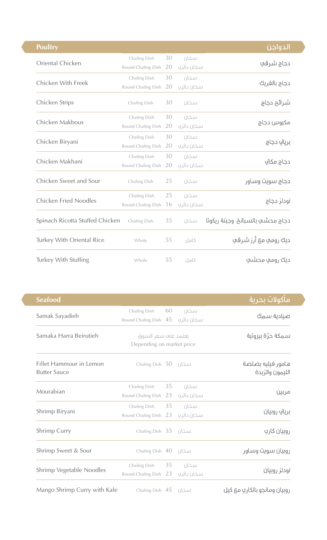| <b>Poultry</b>                  |                                       |          |                     | الدواجن                         |
|---------------------------------|---------------------------------------|----------|---------------------|---------------------------------|
| Oriental Chicken                | Chafing Dish<br>Round Chafing Dish 20 | 30       | سخان<br>سخان دائري  | دجاج شرقي                       |
| Chicken With Freek              | Chafing Dish<br>Round Chafing Dish 20 | 30       | سخان<br>سخان دائري  | دجاج بالفريك                    |
| Chicken Strips                  | Chafing Dish                          | 30       | سخان                | شرائح دجاج                      |
| Chicken Makbous                 | Chafing Dish<br>Round Chafing Dish    | 30<br>20 | سخان<br>سخان دائري  | مكبوس دجاج                      |
| Chicken Biryani                 | Chafing Dish<br>Round Chafing Dish    | 30<br>20 | سخان<br>سخان دائري  | برياني دجاج                     |
| Chicken Makhani                 | Chafing Dish<br>Round Chafing Dish 20 | 30       | سخان<br>سخان دائري  | دجاج مكاني                      |
| Chicken Sweet and Sour          | Chafing Dish                          | 25       | سخان                | دجاج سويت وساور                 |
| Chicken Fried Noodles           | Chafing Dish<br>Round Chafing Dish 16 | 25       | سخان<br>سخان دائر ی | نودلز دجاج                      |
| Spinach Ricotta Stuffed Chicken | Chafing Dish                          | 35       | سخان                | دجاج محشي بالسبانخ وجبنة ريكوتا |
| Turkey With Oriental Rice       | Whole                                 | 55       | کامل                | ديك رومي مع أرز شرقي            |
| Turkey With Stuffing            | Whole                                 | 55       | کامل                | ديك رومي محشي                   |

 $\blacksquare$ 

| <b>Seafood</b>                                 |                                                  |                        | مأكولات بحرية                        |
|------------------------------------------------|--------------------------------------------------|------------------------|--------------------------------------|
| Samak Sayadieh                                 | Chafing Dish 60<br>Round Chafing Dish 45         | سخان<br>سخان دائر ی    | صيادية سمك                           |
| Samaka Harra Beirutieh                         | يعتمد عله سعر السوق<br>Depending on market price |                        | سمكة حرّة بيروتية                    |
| Fillet Hammour in Lemon<br><b>Butter Sauce</b> | سخان Chafing Dish 50                             |                        | هامور فيليه بصلصة<br>الليمون والزبدة |
| Mourabian                                      | Chafing Dish<br>Round Chafing Dish 23            | سخان 35<br>سخان دائر ب | مربين                                |
| Shrimp Biryani                                 | سخان 35 Chafing Dish<br>Round Chafing Dish 23    | سخان دائر ی            | برياني روبيان                        |
| Shrimp Curry                                   | لسخان Chafing Dish 35                            |                        | روبيان كاري                          |
| Shrimp Sweet & Sour                            | سخان Chafing Dish 40                             |                        | روبيان سويت وساور                    |
| Shrimp Vegetable Noodles                       | سخان 35 Chafing Dish<br>Round Chafing Dish 23    | سخان دائر ی            | نودلز روبيان                         |
| Mango Shrimp Curry with Kale                   | سخان Chafing Dish 45                             |                        | روبيان ومانجو بالكاري مع كيل         |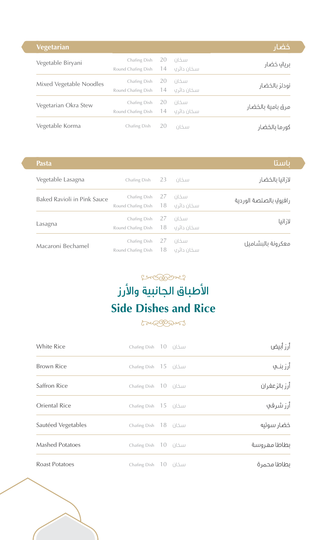| Vegetarian              |                                    |      |                              | خضار              |
|-------------------------|------------------------------------|------|------------------------------|-------------------|
| Vegetable Biryani       | Chafing Dish<br>Round Chafing Dish |      | سخان 20<br>سخان دائری ہے 14  | برياي خضار        |
| Mixed Vegetable Noodles | Chafing Dish<br>Round Chafing Dish |      | سخان 20<br>سخان دائر بکار 14 | نودلز بالخضار     |
| Vegetarian Okra Stew    | Chafing Dish<br>Round Chafing Dish | - 14 | سخان 20<br>سخان دائر ی       | مرق بامية بالخضار |
| Vegetable Korma         | Chafing Dish                       | -20  | سخان                         | كورما بالخضار     |

| <b>Pasta</b>                |                                                            |  | استا                   |
|-----------------------------|------------------------------------------------------------|--|------------------------|
| Vegetable Lasagna           | سخان Chafing Dish 23                                       |  | لازانيا بالخضار        |
| Baked Ravioli in Pink Sauce | سخان 27 Chafing Dish<br>سخان دائر یک 18 Round Chafing Dish |  | رافيوك بالصلصة الوردية |
| Lasagna                     | سخان 27 Chafing Dish<br>Round Chafing Dish 18 سخان دائري   |  | لازانيا                |
| Macaroni Bechamel           | سخان 27 Chafing Dish<br>سخان دائر یک 18 Round Chafing Dish |  | معكرونة بالبشاميل      |

## Coccoon **األطباق اجلانبية واألرزSide Dishes and Rice**

**GROOD** 

| <b>White Rice</b>  | سخان Chafing Dish 10 |  | أرز أبيض      |
|--------------------|----------------------|--|---------------|
| Brown Rice         | سخان 15 Chafing Dish |  | أرز بنــي     |
| Saffron Rice       | سخان 10 Chafing Dish |  | أرز بالزعفران |
| Oriental Rice      | سخان 15 Chafing Dish |  | أرز شرقي      |
| Sautéed Vegetables | سخان 18 Chafing Dish |  | خضار سوتيه    |
| Mashed Potatoes    | سخان Chafing Dish 10 |  | بطاطا مهروسة  |
| Roast Potatoes     | سخان Chafing Dish 10 |  | بطاطا محمرة   |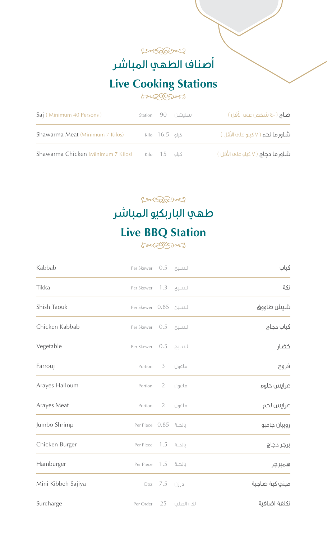#### cocoons

**أصناف الطهي املباشر**

# **Live Cooking Stations**

| Saj (Minimum 40 Persons)           |                 | <b>صاج</b> ( ٤٠ شخص على الأقل )          |
|------------------------------------|-----------------|------------------------------------------|
| Shawarma Meat (Minimum 7 Kilos)    | كىلە 16.5 Kilo  | <b>شاورما لحم</b> ( ۷ کیلو علی الأقل )   |
| Shawarma Chicken (Minimum 7 Kilos) | كىلە 15 مانKilo | <b>شاور ما دجاج</b> ( ۷ کیلو علی الأقل ) |

بعد می است می **طهي الباربكيو املباشر**

# **Live BBQ Station**

| Kabbab             | Per Skewer 0.5 <b>بالسيخ</b> |                     |                         | كباب           |
|--------------------|------------------------------|---------------------|-------------------------|----------------|
| Tikka              | Per Skewer 1.3 <b>اللسيخ</b> |                     |                         | تكة            |
| Shish Taouk        | Per Skewer 0.85 للسيخ        |                     |                         | شيش طاووق      |
| Chicken Kabbab     | Per Skewer 0.5 <b>بالسيخ</b> |                     |                         | كباب دجاج      |
| Vegetable          | Per Skewer 0.5 <b>بالسيخ</b> |                     |                         | خضار           |
| Farrouj            |                              |                     | ماعون 3 Portion         | فروج           |
| Arayes Halloum     |                              |                     | ماعون 2 Portion         | عرايس حلوم     |
| Arayes Meat        |                              | ماعون Portion 2     |                         | عرايس لحم      |
| Jumbo Shrimp       | Per Piece 0.85 اللحية        |                     |                         | روبيان جامبو   |
| Chicken Burger     | Per Piece 1.5 بالحبة         |                     |                         | برجر دجاج      |
| Hamburger          | Per Piece 1.5 بالحبة         |                     |                         | همبرجر         |
| Mini Kibbeh Sajiya |                              | Doz 7.5 <i>Újja</i> |                         | ميني كبة صاجية |
| Surcharge          |                              |                     | Per Order 25 بلكل الطلب | تكلفة اضافية   |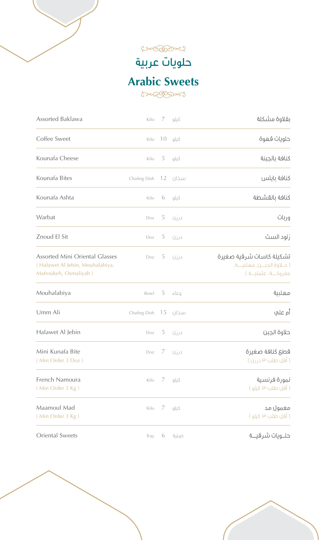

| Assorted Baklawa                                                                           | Kilo         | 7   | کیلو    | بقلاوة مشكلة                                                                   |
|--------------------------------------------------------------------------------------------|--------------|-----|---------|--------------------------------------------------------------------------------|
| Coffee Sweet                                                                               | Kilo         |     | کیلو 10 | حلويات قهوة                                                                    |
| Kounafa Cheese                                                                             | Kilo         | 5   | کیلو    | كنافة بالجبنة                                                                  |
| Kounafa Bites                                                                              | Chafing Dish |     | سخان 12 | كنافة بايتس                                                                    |
| Kounafa Ashta                                                                              | Kilo         | 6   | کیلو    | كنافة بالقشطة                                                                  |
| Warbat                                                                                     | Doz          | 5   | درزن    | وربات                                                                          |
| Znoud El Sit                                                                               | Doz          | 5   | درزن    | زنود الست                                                                      |
| Assorted Mini Oriental Glasses<br>(Halawet Al Jebin, Mouhalabiya,<br>Mafroukeh, Osmaliyah) | Doz          | 5.  | درزن    | تشكيلة كاسات شرقية صغيرة<br>(حلاوة الجبـن، مهلبيــة،<br>مغروكـــة، عثمليـــة ) |
| Mouhalabiya                                                                                | Bowl         | 5   | وعاء    | مهلبية                                                                         |
| Umm Ali                                                                                    | Chafing Dish | -15 | سخان    | أم علي                                                                         |
| Halawet Al Jebin                                                                           | Doz          | 5   | درزن    | حلاوة الجبن                                                                    |
| Mini Kunafa Bite<br>(Min Order 3 Doz)                                                      | Doz          |     | درزن 7  | قطع كنافة صغيرة<br>( أقل طلب ۳ درزن )                                          |
| French Namoura<br>(Min Order 3 Kg)                                                         | Kilo         | 7   | کیلو    | نمورة فرنسية<br>( أقل طلب ٣ كيلو )                                             |
| Maamoul Mad<br>(Min Order 3 Kg)                                                            | Kilo         | 7   | کیلو    | معمول مد<br>( أقل طلب ٣ كيلو )                                                 |
| Oriental Sweets                                                                            | Tray         | 6   | صنبة    | حلــويات شرقيــة                                                               |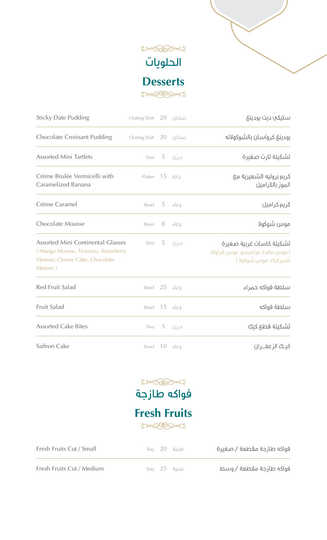

| <b>Sticky Date Pudding</b>                                                                                            | سخان Chafing Dish 20            |               | ستيكي ديت بودينغ                                                                          |
|-----------------------------------------------------------------------------------------------------------------------|---------------------------------|---------------|-------------------------------------------------------------------------------------------|
| Chocolate Croissant Pudding                                                                                           | سخان Chafing Dish 20            |               | بودينغ كرواسان بالشوكولاته                                                                |
| <b>Assorted Mini Tartlets</b>                                                                                         | Doz                             | درزن 5        | تشكيلة تارت صغيرة                                                                         |
| Crème Brulée Vermicelli with<br>Caramelized Banana                                                                    | Platter 15 bla                  |               | كريم بروليه الشعيرية مع<br>الموز بالكراميل                                                |
| Crème Caramel                                                                                                         | Bowl $5$ $\epsilon$ $\epsilon$  |               | کریم کر امیل                                                                              |
| Chocolate Mousse                                                                                                      | Bowl $8$ $\epsilon$ $\epsilon$  |               | موس شوكولا                                                                                |
| Assorted Mini Continental Glasses<br>(Mango Mousse, Tiramisu, Strawberry<br>Mousse, Cheese Cake, Chocolate<br>Mousse) |                                 | $Doz$ 5 $Ujj$ | تشكيلة كاسات غربية صغيرة<br>( موس مانجا، تير اميسو، موس فر اولة،<br>تشيزكيك، موس شوكولا ) |
| Red Fruit Salad                                                                                                       | Bowl $25$ $\epsilon$ $\epsilon$ |               | سلطة فواكه حمراء                                                                          |
| Fruit Salad                                                                                                           | Bowl $15$ $\epsilon$ $\epsilon$ |               | سلطة فواكه                                                                                |
| <b>Assorted Cake Bites</b>                                                                                            | Doz                             | درزن 5        | تشكيلة قطع كيك                                                                            |
| Saffron Cake                                                                                                          |                                 | وعاء 10 Bowl  | كيك الزعف ران                                                                             |

cocoons **فواكه طازجة**

**Fresh Fruits**

| Fresh Fruits Cut / Small  | صنية Tray 20 | فواكه طارجة مقطعة / صغيرة |
|---------------------------|--------------|---------------------------|
| Fresh Fruits Cut / Medium | صنية 25 Tray | فواكه طازجة مقطعة /وسط    |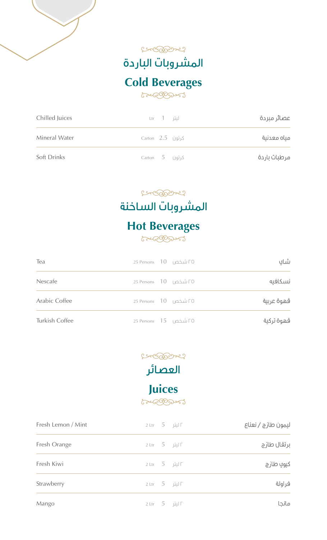

| Chilled Juices |                    | لىتر 1 Ltr | عصائر مبردة  |
|----------------|--------------------|------------|--------------|
| Mineral Water  | $Carton$ 2.5 کرتوں |            | مياه معدنية  |
| Soft Drinks    | $Carton$ 5 جاتون ا |            | مرطبات باردة |

cocodoms

**املشروبات الساخنة**

## **Hot Beverages**

| Tea            |  | 0 شخص 10 roشخص 25 Persons      | شاي        |
|----------------|--|--------------------------------|------------|
| Nescafe        |  | 0 شخص 10 rosess 10 و25 Persons | نسكافيه    |
| Arabic Coffee  |  |                                | قهوة عربية |
| Turkish Coffee |  | 0 شخص 15 roks 15               | قهوة تركية |



| Fresh Lemon / Mint |  | $2 \text{ Ltr}$ 5 ستر $5$ | ليمون طارج / نعناع |
|--------------------|--|---------------------------|--------------------|
| Fresh Orange       |  | اليتر 5 Ltr 5 اليتر       | برتقال طازج        |
| Fresh Kiwi         |  | $2 \text{ Ltr}$ 5 ستر $5$ | کيوي طارج          |
| Strawberry         |  |                           | فراولة             |
| Mango              |  | 2 Ltr 5 ليتر              | مانحا              |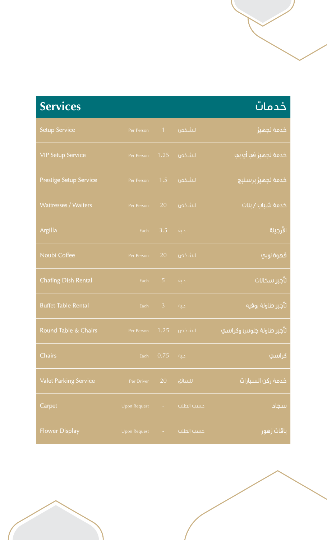## **خدمات Services**

| <b>Setup Service</b>          | Per Person          | $-1$           | الشخص     | خدمة تجهيز              |
|-------------------------------|---------------------|----------------|-----------|-------------------------|
| <b>VIP Setup Service</b>      | Per Person          | 1.25           | للشخص     | خدمة تجهيز في أي بي     |
| <b>Prestige Setup Service</b> | Per Person          | 1.5            | للشخص     | خدمة تجهيز برستيج       |
| <b>Waitresses / Waiters</b>   | Per Person          | 20             | للشخص     | خدمة شباب / بنات        |
| <b>Argilla</b>                | Each                | 3.5            | حىة       | الأرجيلة                |
| Noubi Coffee                  | Per Person          | 20             | للشخص     | قهوة نوبي               |
| <b>Chafing Dish Rental</b>    | Each                | $\overline{5}$ | حىة       | تأجير سخانات            |
| <b>Buffet Table Rental</b>    | Each                | $\overline{3}$ | حىة       | تأجير طاولة بوفيه       |
| Round Table & Chairs          | Per Person          | 1.25           | للشخص     | تأجير طاولة جلوس وكراسي |
| <b>Chairs</b>                 | Each                | 0.75           | حىة       | كراسي                   |
| <b>Valet Parking Service</b>  | Per Driver          | 20             | للسائق    | خدمة ركن السيارات       |
| Carpet                        | Upon Request        | $\sim$         | حسب الطلب | سجاد                    |
| <b>Flower Display</b>         | <b>Upon Request</b> | $\sim 100$     | حسب الطلب | باقات زهور              |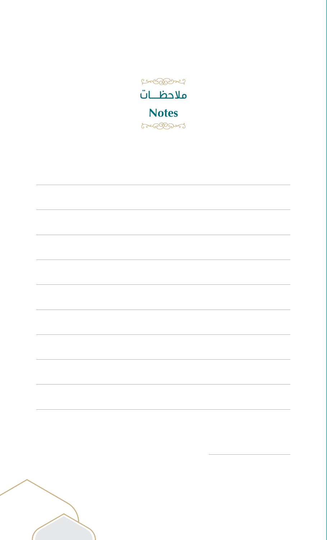

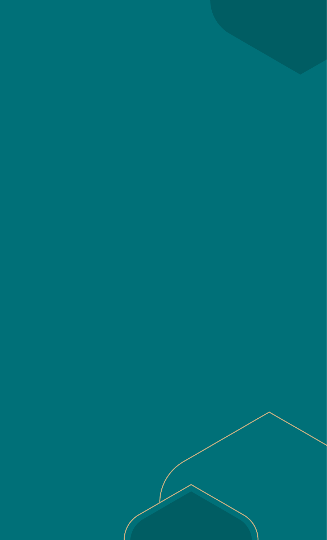